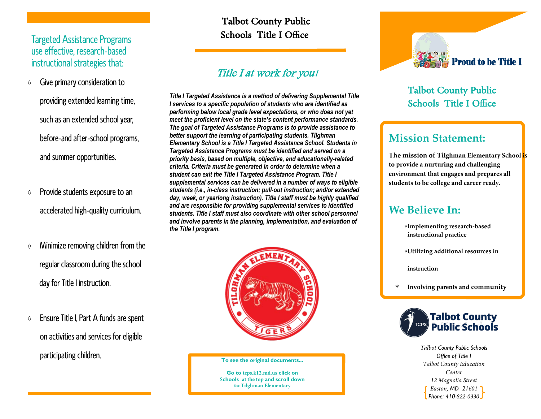### Targeted Assistance Programs use effective, research-based instructional strategies that:

- $\Diamond$  Give primary consideration to
	- providing extended learning time, such as an extended school year, before-and after-school programs, and summer opportunities.
- $\Diamond$  Provide students exposure to an accelerated high-quality curriculum.
- $\Diamond$  Minimize removing children from the regular classroom during the school day for Title I instruction.
- $\Diamond$  Ensure Title I, Part A funds are spent on activities and services for eligible participating children.

## Title I at work for you!

*Title I Targeted Assistance is a method of delivering Supplemental Title I services to a specific population of students who are identified as performing below local grade level expectations, or who does not yet meet the proficient level on the state's content performance standards. The goal of Targeted Assistance Programs is to provide assistance to better support the learning of participating students. Tilghman Elementary School is a Title I Targeted Assistance School. Students in Targeted Assistance Programs must be identified and served on a priority basis, based on multiple, objective, and educationally-related criteria. Criteria must be generated in order to determine when a student can exit the Title I Targeted Assistance Program. Title I supplemental services can be delivered in a number of ways to eligible students (i.e., in-class instruction; pull-out instruction; and/or extended day, week, or yearlong instruction). Title I staff must be highly qualified and are responsible for providing supplemental services to identified students. Title I staff must also coordinate with other school personnel and involve parents in the planning, implementation, and evaluation of* Talbot County Public<br>
Schools Title I Office<br>
Figure Schools Title I Office<br> *Title I Targeted Assistance is a method of delivering Supplerioring supplerioring betwee to a specific population of students who are ide<br>
profo* 



#### **To see the original documents...**

**Go to tcps.k12.md.us click on Schools at the top and scroll down to Tilghman Elementary**



# **Mission Statement:**

**The mission of Tilghman Elementary School is to provide a nurturing and challenging environment that engages and prepares all students to be college and career ready.**

# **We Believe In:**

- **Implementing research‐basedinstructional practice**
- **Utilizing additional resources in**

**instruction**

 $\ast$ **Involving parents and community**



*Talbot County Public Schools Office of Title I Talbot County Education Center 12 Magnolia StreetEaston, MD 21601Phone: 410-822-0330*